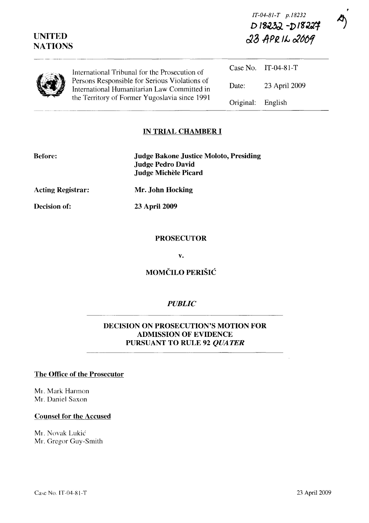| <b>UNITED</b><br><b>NATIONS</b> |                                                                                                                                               | D18232-D18227<br>23 APRIL 2009 |                     |
|---------------------------------|-----------------------------------------------------------------------------------------------------------------------------------------------|--------------------------------|---------------------|
|                                 | International Tribunal for the Prosecution of                                                                                                 |                                | Case No. IT-04-81-T |
|                                 | Persons Responsible for Serious Violations of<br>International Humanitarian Law Committed in<br>the Territory of Former Yugoslavia since 1991 | Date:                          | 23 April 2009       |
|                                 |                                                                                                                                               | Original:                      | English             |

#### **IN TRIAL CHAMBER I**

| <b>Before:</b> |  |  |
|----------------|--|--|
|                |  |  |
|                |  |  |

**Judge Bakone Justice Moloto, Presiding Judge Pedro David Judge Michele Picard** 

**Acting Registrar:** 

**Decision of:** 

**23 April 2009** 

**Mr. John Hocking** 

#### **PROSECUTOR**

**v.** 

# **MOMCILO PERISIC**

## *PUBLIC*

### **DECISION ON PROSECUTION'S MOTION FOR ADMISSION OF EVIDENCE PURSUANT TO RULE 92** *QUATER*

### **The Office of the Prosecutor**

MI. Mark Harmon Mr. Daniel Saxon

#### **Counsel for the Accused**

Mr. Novak Lukić Mr. Gregor Guy-Smith

*IT-04-SI-T p.IS232*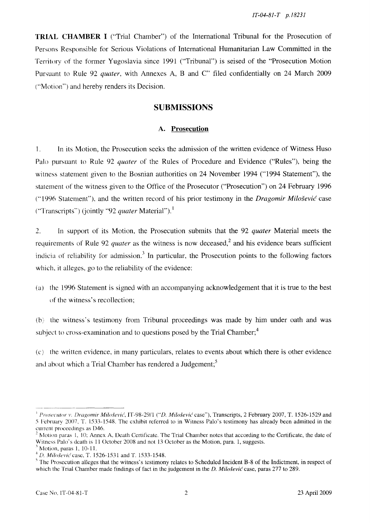**TRIAL CHAMBER I** ("Trial Chamber") of the International Tribunal for the Prosecution of Persons Responsible for Serious Violations of International Humanitarian Law Committed in the Territory of the former Yugoslavia since 1991 ("Tribunal") is seised of the "Prosecution Motion Pursuant to Rule 92 *quater*, with Annexes A, B and C" filed confidentially on 24 March 2009 ("Motion") and hereby renders its Decision.

### **SUBMISSIONS**

#### **A. Prosecution**

I. **In** its Motion, the Prosecution seeks the admission of the written evidence of Witness Huso Palo pursuant to Rule 92 *quater* of the Rules of Procedure and Evidence ("Rules"), being the witness statement given to the Bosnian authorities on 24 November 1994 ("1994 Statement"), the statement of the witness given to the Office of the Prosecutor ("Prosecution") on 24 February 1996 (" 1996 Statement"), and the written record of his prior testimony in the *Dragomir Milosevic* case ("Transcripts") (jointly "92 *quater* Material"). <sup>I</sup>

2. **In** support of its Motion, the Prosecution submits that the 92 *quater* Material meets the requirements of Rule 92 *quater* as the witness is now deceased,<sup>2</sup> and his evidence bears sufficient indicia of reliability for admission.<sup>3</sup> In particular, the Prosecution points to the following factors which, it alleges, go to the reliability of the evidence:

(a) the 1996 Statement is signed with an accompanying acknowledgement that it is true to the best of the witness's recollection;

(b) the witness's testimony from Tribunal proceedings was made by him under oath and was subject to cross-examination and to questions posed by the Trial Chamber;<sup>4</sup>

(c) the written evidence, in many particulars, relates to events about which there is other evidence and about which a Trial Chamber has rendered a Judgement;<sup>5</sup>

<sup>&</sup>lt;sup>1</sup> Prosecutor v. Dragomir Milošević, IT-98-29/1 ("D. Milošević case"), Transcripts, 2 February 2007, T. 1526-1529 and 5 Fehruary 20m, T. 1533-1548. The exhibit referred to in Witness Palo's testimony has already been admitted in the current proceedings as D46.

 $2$  Motion paras 1, 10; Annex A, Death Certificate. The Trial Chamber notes that according to the Certificate, the date of Witness Palo's death is 11 October 2008 and not 13 October as the Motion, para. 1, suggests.

Motion, paras 1, 10-11.

<sup>&</sup>lt;sup>4</sup> D. Milosević case, T. 1526-1531 and T. 1533-1548.

 $<sup>5</sup>$  The Prosecution alleges that the witness's testimony relates to Scheduled Incident B-8 of the Indictment, in respect of</sup> which the Trial Chamber made findings of fact in the judgement in the *D. Milošević* case, paras 277 to 289.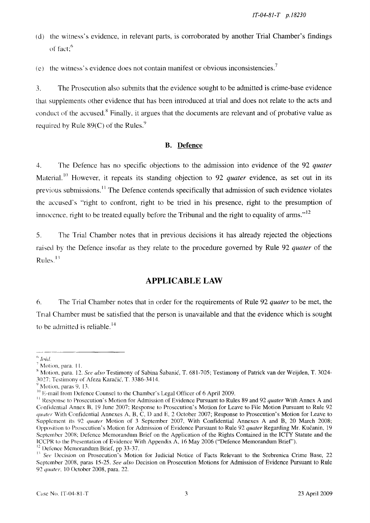- (d) the witness's evidence, in relevant parts, is corroborated by another Trial Chamber's findings of fact;<sup>6</sup>
- (e) the witness's evidence does not contain manifest or obvious inconsistencies.<sup>7</sup>

3. The Prosecution also submits that the evidence sought to be admitted is crime-base evidence thal supplements other evidence that has been introduced at trial and does not relate to the acts and conduct of the accused.<sup>8</sup> Finally, it argues that the documents are relevant and of probative value as required by Rule  $89(C)$  of the Rules.<sup>9</sup>

#### **B. Defence**

4. The Defence has no specific objections to the admission into evidence of the 92 *quater*  Material.<sup>10</sup> However, it repeats its standing objection to 92 *quater* evidence, as set out in its previous submissions.<sup>11</sup> The Defence contends specifically that admission of such evidence violates the accused's "right to confront, right to be tried in his presence, right to the presumption of innocence, right to be treated equally before the Tribunal and the right to equality of arms." $^{12}$ 

5. The Trial Chamber notes that in previous decisions it has already rejected the objections raised by the Defence insofar as they relate to the procedure governed by Rule 92 *quater* of the Rules.<sup>13</sup>

# **APPLICABLE LAW**

6. The Trial Chamber notes that in order for the requirements of Rule 92 *quater* to be met, the Tnal Chamber must be satisfied that the person is unavailable and that the evidence which is sought to be admitted is reliable.<sup>14</sup>

 $^6$   $\emph{loid.}$ 

<sup>7</sup> Motion, para. 11.

x 1.1.1.1.2, para. 12. *See also* Testimony of Sabina Šabanić, T. 681-705; Testimony of Patrick van der Weijden, T. 3024-3027: Testimony of Afeza Karačić, T. 3386-3414.<br><sup>9</sup> Motion, paras 9, 13.

<sup>&</sup>lt;sup>10</sup> E-mail from Defence Counsel to the Chamber's Legal Officer of 6 April 2009.

<sup>&</sup>lt;sup>11</sup> Response to Prosecution's Motion for Admission of Evidence Pursuant to Rules 89 and 92 *quater* With Annex A and Confidential Annex B, 19 June 2007; Response to Prosecution's Motion for Leave to File Motion Pursuant to Rule 92 quater With Confidential Annexes A, B, C, D and E, 2 October 2007; Response to Prosecution's Motion for Leave to Supplement its 92 *quater* Motion of 3 September 2007, With Confidential Annexes A and B, 20 March 2008; Opposition to Prosecution's Motion for Admission of Evidence Pursuant to Rule 92 *quater* Regarding Mr. Kucanin, 19 September 200X: Defence Memorandum Brief on the Application of the Rights Contained in the ICTY Statute and the ICCPR to the Presentation of Evidence With Appendix A, 16 May 2006 ("Defence Memorandum Brief').  $12$  Defence Memorandum Brief, pp 33-37.

<sup>&</sup>lt;sup>13</sup> See Decision on Prosecution's Motion for Judicial Notice of Facts Relevant to the Srebrenica Crime Base, 22 September 2008, paras 15-25. *See also* Decision on Prosecution Motions for Admission of Evidence Pursuant to Rule 92 *quater*. 10 October 2008, para. 22.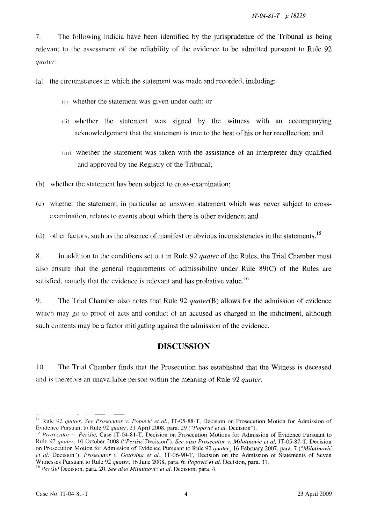7. The following indicia have been identitied by the jurisprudence of the Tribunal as being relevant to the assessment of the reliability of the evidence to be admitted pursuant to Rule 92 *quater:* 

(a) the circumstances in which the statement was made and recorded, including:

- (i) whether the statement was given under oath; or
- (ii) whether the statement was signed by the witness with an accompanying acknowledgement that the statement is true to the best of his or her recollection; and
- (iii) whether the statement was taken with the assistance of an interpreter duly qualified and approved by the Registry of the Tribunal;
- (b) whether the statement has been subject to cross-examination;
- (c) whether the statement, in particular an unsworn statement which was never subject to crossexamination, relates to events about which there is other evidence; and
- (d) other factors, such as the absence of manifest or obvious inconsistencies in the statements.<sup>15</sup>

g. In addition to the conditions set out in Rule 92 *quater* of the Rules, the Trial Chamber must also ensure that the general requirements of admissibility under Rule 89(C) of the Rules are satisfied, namely that the evidence is relevant and has probative value.<sup>16</sup>

9. The Trial Chamber also notes that Rule 92 *quater(B)* allows for the admission of evidence which may go to proof of acts and conduct of an accused as charged in the indictment, although such contents may be a factor mitigating against the admission of the evidence.

## **DISCUSSION**

10. The Trial Chamber finds that the Prosecution has established that the Witness is deceased and is therefore an unavailable person within the meaning of Rule 92 *quater.* 

<sup>&</sup>lt;sup>14</sup> Rule 92 *quater. See Prosecutor v. Popović et al.*, IT-05-88-T, Decision on Prosecution Motion for Admission of Evidence Pursuant to Rule 92 *quater*, 21 April 2008, para. 29 *("Popović et al. Decision").* 

<sup>&</sup>lt;sup>15</sup> Prosecutor v. Perišić, Case IT-04-81-T, Decision on Prosecution Motions for Admission of Evidence Pursuant to Rule 92 quater, 10 October 2008 ("Perišić Decision"). See also Prosecutor v. Milutinović et al, IT-05-87-T, Decision on Prosecution Motion for Admission of Evidence Pursuant to Rule 92 *quater,* 16 February 2007, para. 7 *("Milutinovic et al. Decision"); Prosecutor v. Gotovina et al., IT-06-90-T, Decision on the Admission of Statements of Seven* WItnesses Pursuant to Rule 92 *quater,* 16 June 200S, para. 6; *Popovic et al.* Decision, para. 31.

<sup>&</sup>lt;sup>16</sup> Perišić Decision, para. 20. See also Milutinović et al. Decision, para. 4.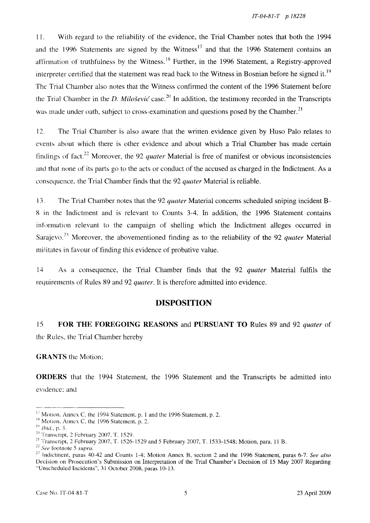11. With regard to the reliability of the evidence, the Trial Chamber notes that both the 1994 and the 1996 Statements are signed by the Witness<sup>17</sup> and that the 1996 Statement contains an affirmation of truthfulness by the Witness.<sup>18</sup> Further, in the 1996 Statement, a Registry-approved interpreter certified that the statement was read back to the Witness in Bosnian before he signed it.<sup>19</sup> The Trial Chamber also notes that the Witness confirmed the content of the 1996 Statement before the Trial Chamber in the *D. Milošević* case.<sup>20</sup> In addition, the testimony recorded in the Transcripts was made under oath, subject to cross-examination and questions posed by the Chamber.<sup>21</sup>

12. The Trial Chamber is also aware that the written evidence given by Huso Palo relates to events about which there is other evidence and about which a Trial Chamber has made certain findings of fact. 22 Moreover, the 92 *quater* Material is free of manifest or obvious inconsistencies and that none of its parts go to the acts or conduct of the accused as charged in the Indictment. As a consequence, the Trial Chamber finds that the 92 *quater* Material is reliable.

13. The Trial Chamber notes that the 92 *quater* Material concerns scheduled sniping incident B-8 in the Indictment and is relevant to Counts 3-4. **In** addition, the 1996 Statement contains information relevant to the campaign of shelling which the Indictment alleges occurred in Sarajevo.<sup>23</sup> Moreover, the abovementioned finding as to the reliability of the 92 *quater* Material militates in favour of finding this evidence of probative value.

14 As a consequence, the Trial Chamber finds that the 92 *quater* Material fulfils the requirements of Rules 89 and 92 *quater.* It is therefore admitted into evidence.

### **DISPOSITION**

15 **FOR THE FOREGOING REASONS** and **PURSUANT TO** Rules 89 and 92 *quater* of the Rules, the Trial Chamber hereby

**GRANTS** the Motion:

**ORDERS** that the 1994 Statement, the 1996 Statement and the Transcripts be admitted into eVidence: and

 $17$  Motion, Annex C, the 1994 Statement, p. 1 and the 1996 Statement, p. 2.

 $<sup>18</sup>$  Motion, Annex C, the 1996 Statement, p. 2.</sup>

I~ *lhid.,* p. 3.

 $20$  Transcript, 2 February 2007, T. 1529.

<sup>&</sup>lt;sup>21</sup> Transcript, 2 February 2007, T. 1526-1529 and 5 February 2007, T. 1533-1548; Motion, para. 11 B.

<sup>22</sup>*See* footnote 5 *supra.* 

<sup>&</sup>lt;sup>23</sup> Indictment, paras 40-42 and Counts 1-4; Motion Annex B, section 2 and the 1996 Statement, paras 6-7. See also Decision on Prosecution's Submission on Interpretation of the Trial Chamber's Decision of 15 May 2007 Regarding "Unscheduled Incidents", 31 October 2008, paras 10-13.